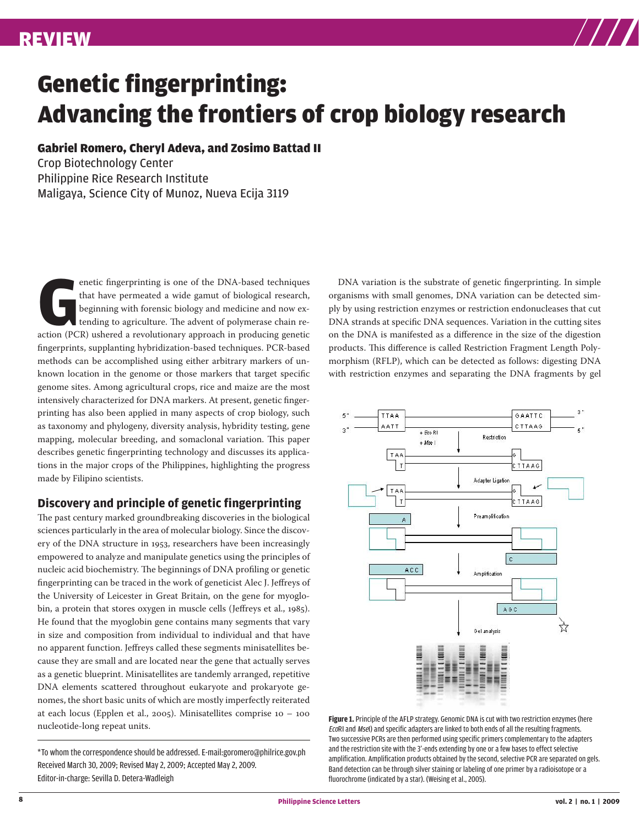

# Genetic fingerprinting: Advancing the frontiers of crop biology research

#### Gabriel Romero, Cheryl Adeva, and Zosimo Battad II

Crop Biotechnology Center Philippine Rice Research Institute Maligaya, Science City of Munoz, Nueva Ecija 3119

enetic fingerprinting is one of the DNA-based techniques<br>
that have permeated a wide gamut of biological research,<br>
beginning with forensic biology and medicine and now ex-<br>
tending to agriculture. The advent of polymerase that have permeated a wide gamut of biological research, beginning with forensic biology and medicine and now extending to agriculture. The advent of polymerase chain refingerprints, supplanting hybridization-based techniques. PCR-based methods can be accomplished using either arbitrary markers of unknown location in the genome or those markers that target specific genome sites. Among agricultural crops, rice and maize are the most intensively characterized for DNA markers. At present, genetic fingerprinting has also been applied in many aspects of crop biology, such as taxonomy and phylogeny, diversity analysis, hybridity testing, gene mapping, molecular breeding, and somaclonal variation. This paper describes genetic fingerprinting technology and discusses its applications in the major crops of the Philippines, highlighting the progress made by Filipino scientists.

### **Discovery and principle of genetic fingerprinting**

The past century marked groundbreaking discoveries in the biological sciences particularly in the area of molecular biology. Since the discovery of the DNA structure in 1953, researchers have been increasingly empowered to analyze and manipulate genetics using the principles of nucleic acid biochemistry. The beginnings of DNA profiling or genetic fingerprinting can be traced in the work of geneticist Alec J. Jeffreys of the University of Leicester in Great Britain, on the gene for myoglobin, a protein that stores oxygen in muscle cells (Jeffreys et al., 1985). He found that the myoglobin gene contains many segments that vary in size and composition from individual to individual and that have no apparent function. Jeffreys called these segments minisatellites because they are small and are located near the gene that actually serves as a genetic blueprint. Minisatellites are tandemly arranged, repetitive DNA elements scattered throughout eukaryote and prokaryote genomes, the short basic units of which are mostly imperfectly reiterated at each locus (Epplen et al., 2005). Minisatellites comprise 10 – 100 nucleotide-long repeat units.

\*To whom the correspondence should be addressed. E-mail:goromero@philrice.gov.ph Received March 30, 2009; Revised May 2, 2009; Accepted May 2, 2009. Editor-in-charge: Sevilla D. Detera-Wadleigh

DNA variation is the substrate of genetic fingerprinting. In simple organisms with small genomes, DNA variation can be detected simply by using restriction enzymes or restriction endonucleases that cut DNA strands at specific DNA sequences. Variation in the cutting sites on the DNA is manifested as a difference in the size of the digestion products. This difference is called Restriction Fragment Length Polymorphism (RFLP), which can be detected as follows: digesting DNA with restriction enzymes and separating the DNA fragments by gel



Two successive PCRs are then performed using specific primers complementary to the adapters and the restriction site with the 3'-ends extending by one or a few bases to effect selective amplification. Amplification products obtained by the second, selective PCR are separated on gels. Band detection can be through silver staining or labeling of one primer by a radioisotope or a fluorochrome (indicated by a star). (Weising et al., 2005). Figure 1. Principle of the AFLP strategy. Genomic DNA is cut with two restriction enzymes (here EcoRI and MseI) and specific adapters are linked to both ends of all the resulting fragments.

star). (*Weising* et al*., 2005*).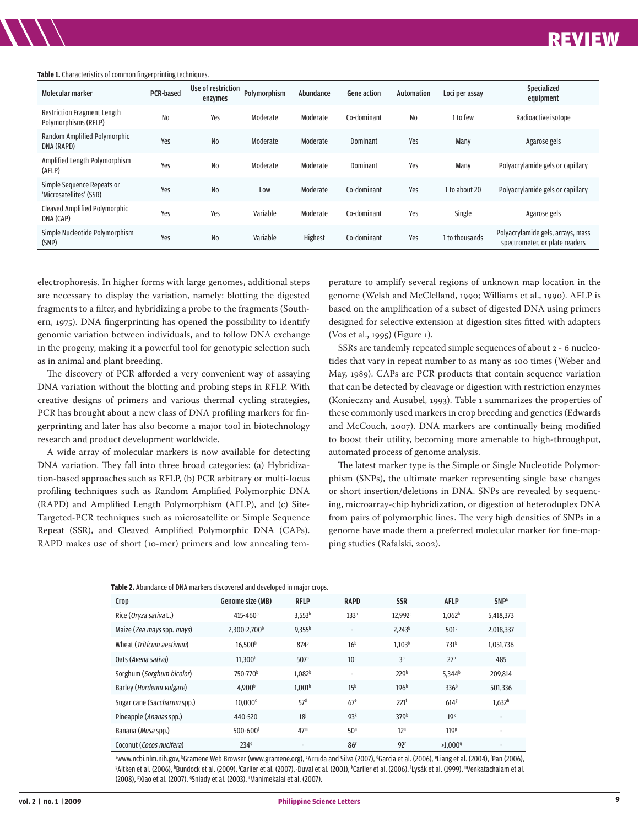### REVIEW REVIEW

#### **Table 1.** Characteristics of common fingerprinting techniques.

| Molecular marker                                           | <b>PCR-based</b> | Use of restriction<br>enzymes | Polymorphism | Abundance | <b>Gene action</b> | <b>Automation</b> | Loci per assay | Specialized<br>equipment                                            |
|------------------------------------------------------------|------------------|-------------------------------|--------------|-----------|--------------------|-------------------|----------------|---------------------------------------------------------------------|
| <b>Restriction Fragment Length</b><br>Polymorphisms (RFLP) | N <sub>0</sub>   | Yes                           | Moderate     | Moderate  | Co-dominant        | No                | 1 to few       | Radioactive isotope                                                 |
| Random Amplified Polymorphic<br>DNA (RAPD)                 | Yes              | N <sub>0</sub>                | Moderate     | Moderate  | Dominant           | Yes               | Many           | Agarose gels                                                        |
| Amplified Length Polymorphism<br>(AFLP)                    | Yes              | N <sub>0</sub>                | Moderate     | Moderate  | Dominant           | Yes               | Many           | Polyacrylamide gels or capillary                                    |
| Simple Sequence Repeats or<br>'Microsatellites' (SSR)      | Yes              | N <sub>0</sub>                | Low          | Moderate  | Co-dominant        | Yes               | 1 to about 20  | Polyacrylamide gels or capillary                                    |
| Cleaved Amplified Polymorphic<br>DNA (CAP)                 | Yes              | Yes                           | Variable     | Moderate  | Co-dominant        | Yes               | Single         | Agarose gels                                                        |
| Simple Nucleotide Polymorphism<br>(SNP)                    | Yes              | N <sub>0</sub>                | Variable     | Highest   | Co-dominant        | Yes               | 1 to thousands | Polyacrylamide gels, arrays, mass<br>spectrometer, or plate readers |

electrophoresis. In higher forms with large genomes, additional steps are necessary to display the variation, namely: blotting the digested fragments to a filter, and hybridizing a probe to the fragments (Southern, 1975). DNA fingerprinting has opened the possibility to identify genomic variation between individuals, and to follow DNA exchange in the progeny, making it a powerful tool for genotypic selection such as in animal and plant breeding.

The discovery of PCR afforded a very convenient way of assaying DNA variation without the blotting and probing steps in RFLP. With creative designs of primers and various thermal cycling strategies, PCR has brought about a new class of DNA profiling markers for fingerprinting and later has also become a major tool in biotechnology research and product development worldwide.

A wide array of molecular markers is now available for detecting DNA variation. They fall into three broad categories: (a) Hybridization-based approaches such as RFLP, (b) PCR arbitrary or multi-locus profiling techniques such as Random Amplified Polymorphic DNA (RAPD) and Amplified Length Polymorphism (AFLP), and (c) Site-Targeted-PCR techniques such as microsatellite or Simple Sequence Repeat (SSR), and Cleaved Amplified Polymorphic DNA (CAPs). RAPD makes use of short (10-mer) primers and low annealing tem-

**Table 2.** Abundance of DNA markers discovered and developed in major crops.

perature to amplify several regions of unknown map location in the genome (Welsh and McClelland, 1990; Williams et al., 1990). AFLP is based on the amplification of a subset of digested DNA using primers designed for selective extension at digestion sites fitted with adapters (Vos et al., 1995) (Figure 1).

SSRs are tandemly repeated simple sequences of about 2 - 6 nucleotides that vary in repeat number to as many as 100 times (Weber and May, 1989). CAPs are PCR products that contain sequence variation that can be detected by cleavage or digestion with restriction enzymes (Konieczny and Ausubel, 1993). Table 1 summarizes the properties of these commonly used markers in crop breeding and genetics (Edwards and McCouch, 2007). DNA markers are continually being modified to boost their utility, becoming more amenable to high-throughput, automated process of genome analysis.

The latest marker type is the Simple or Single Nucleotide Polymorphism (SNPs), the ultimate marker representing single base changes or short insertion/deletions in DNA. SNPs are revealed by sequencing, microarray-chip hybridization, or digestion of heteroduplex DNA from pairs of polymorphic lines. The very high densities of SNPs in a genome have made them a preferred molecular marker for fine-mapping studies (Rafalski, 2002).

| Crop                              | Genome size (MB)         | <b>RFLP</b>              | <b>RAPD</b>              | <b>SSR</b>          | <b>AFLP</b>           | <b>SNP</b> <sup>a</sup>  |
|-----------------------------------|--------------------------|--------------------------|--------------------------|---------------------|-----------------------|--------------------------|
| Rice (Oryza sativa L.)            | 415-460 <sup>b</sup>     | 3,553 <sup>b</sup>       | 133 <sup>b</sup>         | 12.992 <sup>b</sup> | 1.062 <sup>b</sup>    | 5,418,373                |
| Maize (Zea mays spp. mays)        | 2,300-2,700 <sup>b</sup> | $9,355^{b}$              | $\overline{\phantom{a}}$ | 2,243 <sup>b</sup>  | 501 <sup>b</sup>      | 2,018,337                |
| Wheat (Triticum aestivum)         | 16,500 <sup>b</sup>      | 874 <sup>b</sup>         | 16 <sup>b</sup>          | 1,103 <sup>b</sup>  | 731 <sup>b</sup>      | 1,051,736                |
| Oats (Avena sativa)               | 11.300 <sup>b</sup>      | 507 <sup>b</sup>         | 10 <sup>b</sup>          | 3 <sup>b</sup>      | 27 <sup>b</sup>       | 485                      |
| Sorghum (Sorghum bicolor)         | 750-770 <sup>b</sup>     | 1.082 <sup>b</sup>       | $\overline{\phantom{a}}$ | 229 <sup>b</sup>    | $5.344^{b}$           | 209,814                  |
| Barley ( <i>Hordeum vulgare</i> ) | 4.900 <sup>b</sup>       | 1.001 <sup>b</sup>       | 15 <sup>b</sup>          | 196 <sup>b</sup>    | 336 <sup>b</sup>      | 501.336                  |
| Sugar cane (Saccharum spp.)       | 10,000 <sup>c</sup>      | 57 <sup>d</sup>          | 67 <sup>e</sup>          | 221 <sup>f</sup>    | 614 <sup>g</sup>      | 1,632 <sup>h</sup>       |
| Pineapple (Ananas spp.)           | 440-520 <sup>i</sup>     | 18 <sup>j</sup>          | 93 <sup>k</sup>          | 379 <sup>k</sup>    | 19 <sup>k</sup>       | $\overline{\phantom{a}}$ |
| Banana (Musa spp.)                | $500 - 600$              | 47 <sup>m</sup>          | 50 <sup>n</sup>          | 12 <sup>n</sup>     | 119 <sup>p</sup>      | $\overline{\phantom{a}}$ |
| Coconut (Cocos nucifera)          | 234 <sup>q</sup>         | $\overline{\phantom{a}}$ | 86 <sup>r</sup>          | 92 <sup>r</sup>     | $>1.000$ <sup>q</sup> | $\overline{\phantom{a}}$ |

Www.ncbi.nlm.nih.gov, <sup>b</sup>Gramene Web Browser (www.gramene.org), 'Arruda and Silva (2007), "Garcia et al. (2006), 'Liang et al. (2004), 'Pan (2006),<br>«Aitken et al. (2006), 'Bundock et al. (2009), 'Carlier et al. (2007), JDu Aitken et al. (2006), "Bundock et al. (2009), 'Carlier et al. (2007), <sup>j</sup>Duval et al. (2001), "Carlier et al. (2006), 'Lysák et al. (1999), "Venkatachalam et al. (2008), <sup>p</sup>Xiao et al. (2007). <sup>a</sup>Sniady et al. (2003), 'Manimekalai et al. (2007).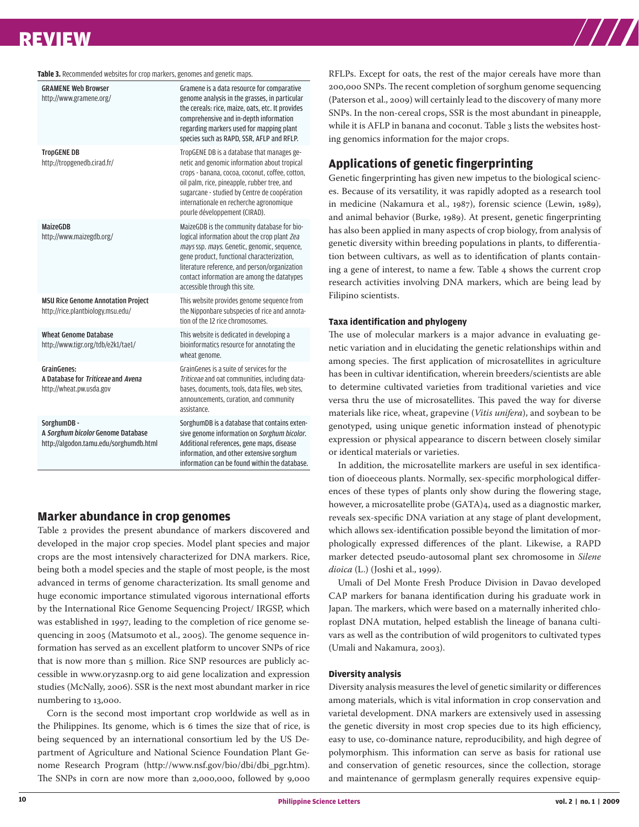## REVIEW REVIEW

#### **Table 3.** Recommended websites for crop markers, genomes and genetic maps.

| <b>GRAMENE Web Browser</b><br>http://www.gramene.org/                                      | Gramene is a data resource for comparative<br>genome analysis in the grasses, in particular<br>the cereals: rice, maize, oats, etc. It provides<br>comprehensive and in-depth information<br>regarding markers used for mapping plant<br>species such as RAPD, SSR, AFLP and RFLP.                                        |
|--------------------------------------------------------------------------------------------|---------------------------------------------------------------------------------------------------------------------------------------------------------------------------------------------------------------------------------------------------------------------------------------------------------------------------|
| <b>TropGENE DB</b><br>http://tropgenedb.cirad.fr/                                          | TropGENE DB is a database that manages ge-<br>netic and genomic information about tropical<br>crops - banana, cocoa, coconut, coffee, cotton,<br>oil palm, rice, pineapple, rubber tree, and<br>sugarcane - studied by Centre de coopération<br>internationale en recherche agronomique<br>pourle développement (CIRAD).  |
| MaizeGDB<br>http://www.maizegdb.org/                                                       | MaizeGDB is the community database for bio-<br>logical information about the crop plant Zea<br>mays ssp. mays. Genetic, genomic, sequence,<br>gene product, functional characterization,<br>literature reference, and person/organization<br>contact information are among the datatypes<br>accessible through this site. |
| <b>MSU Rice Genome Annotation Project</b><br>http://rice.plantbiology.msu.edu/             | This website provides genome sequence from<br>the Nipponbare subspecies of rice and annota-<br>tion of the 12 rice chromosomes.                                                                                                                                                                                           |
| <b>Wheat Genome Database</b><br>http://www.tigr.org/tdb/e2k1/tae1/                         | This website is dedicated in developing a<br>bioinformatics resource for annotating the<br>wheat genome.                                                                                                                                                                                                                  |
| <b>GrainGenes:</b><br>A Database for Triticeae and Avena<br>http://wheat.pw.usda.gov       | GrainGenes is a suite of services for the<br>Triticeae and oat communities, including data-<br>bases, documents, tools, data files, web sites,<br>announcements, curation, and community<br>assistance.                                                                                                                   |
| SorghumDB -<br>A Sorghum bicolor Genome Database<br>http://algodon.tamu.edu/sorghumdb.html | SorghumDB is a database that contains exten-<br>sive genome information on Sorghum bicolor.<br>Additional references, gene maps, disease<br>information, and other extensive sorghum<br>information can be found within the database.                                                                                     |

#### **Marker abundance in crop genomes**

Table 2 provides the present abundance of markers discovered and developed in the major crop species. Model plant species and major crops are the most intensively characterized for DNA markers. Rice, being both a model species and the staple of most people, is the most advanced in terms of genome characterization. Its small genome and huge economic importance stimulated vigorous international efforts by the International Rice Genome Sequencing Project/ IRGSP, which was established in 1997, leading to the completion of rice genome sequencing in 2005 (Matsumoto et al., 2005). The genome sequence information has served as an excellent platform to uncover SNPs of rice that is now more than 5 million. Rice SNP resources are publicly accessible in www.oryzasnp.org to aid gene localization and expression studies (McNally, 2006). SSR is the next most abundant marker in rice numbering to 13,000.

Corn is the second most important crop worldwide as well as in the Philippines. Its genome, which is 6 times the size that of rice, is being sequenced by an international consortium led by the US Department of Agriculture and National Science Foundation Plant Genome Research Program (http://www.nsf.gov/bio/dbi/dbi\_pgr.htm). The SNPs in corn are now more than 2,000,000, followed by 9,000

RFLPs. Except for oats, the rest of the major cereals have more than 200,000 SNPs. The recent completion of sorghum genome sequencing (Paterson et al., 2009) will certainly lead to the discovery of many more SNPs. In the non-cereal crops, SSR is the most abundant in pineapple, while it is AFLP in banana and coconut. Table 3 lists the websites hosting genomics information for the major crops.

#### **Applications of genetic fingerprinting**

Genetic fingerprinting has given new impetus to the biological sciences. Because of its versatility, it was rapidly adopted as a research tool in medicine (Nakamura et al., 1987), forensic science (Lewin, 1989), and animal behavior (Burke, 1989). At present, genetic fingerprinting has also been applied in many aspects of crop biology, from analysis of genetic diversity within breeding populations in plants, to differentiation between cultivars, as well as to identification of plants containing a gene of interest, to name a few. Table 4 shows the current crop research activities involving DNA markers, which are being lead by Filipino scientists.

#### **Taxa identification and phylogeny**

The use of molecular markers is a major advance in evaluating genetic variation and in elucidating the genetic relationships within and among species. The first application of microsatellites in agriculture has been in cultivar identification, wherein breeders/scientists are able to determine cultivated varieties from traditional varieties and vice versa thru the use of microsatellites. This paved the way for diverse materials like rice, wheat, grapevine (*Vitis unifera*), and soybean to be genotyped, using unique genetic information instead of phenotypic expression or physical appearance to discern between closely similar or identical materials or varieties.

In addition, the microsatellite markers are useful in sex identification of dioeceous plants. Normally, sex-specific morphological differences of these types of plants only show during the flowering stage, however, a microsatellite probe (GATA)4, used as a diagnostic marker, reveals sex-specific DNA variation at any stage of plant development, which allows sex-identification possible beyond the limitation of morphologically expressed differences of the plant. Likewise, a RAPD marker detected pseudo-autosomal plant sex chromosome in *Silene dioica* (L.) (Joshi et al., 1999).

Umali of Del Monte Fresh Produce Division in Davao developed CAP markers for banana identification during his graduate work in Japan. The markers, which were based on a maternally inherited chloroplast DNA mutation, helped establish the lineage of banana cultivars as well as the contribution of wild progenitors to cultivated types (Umali and Nakamura, 2003).

#### **Diversity analysis**

Diversity analysis measures the level of genetic similarity or differences among materials, which is vital information in crop conservation and varietal development. DNA markers are extensively used in assessing the genetic diversity in most crop species due to its high efficiency, easy to use, co-dominance nature, reproducibility, and high degree of polymorphism. This information can serve as basis for rational use and conservation of genetic resources, since the collection, storage and maintenance of germplasm generally requires expensive equip-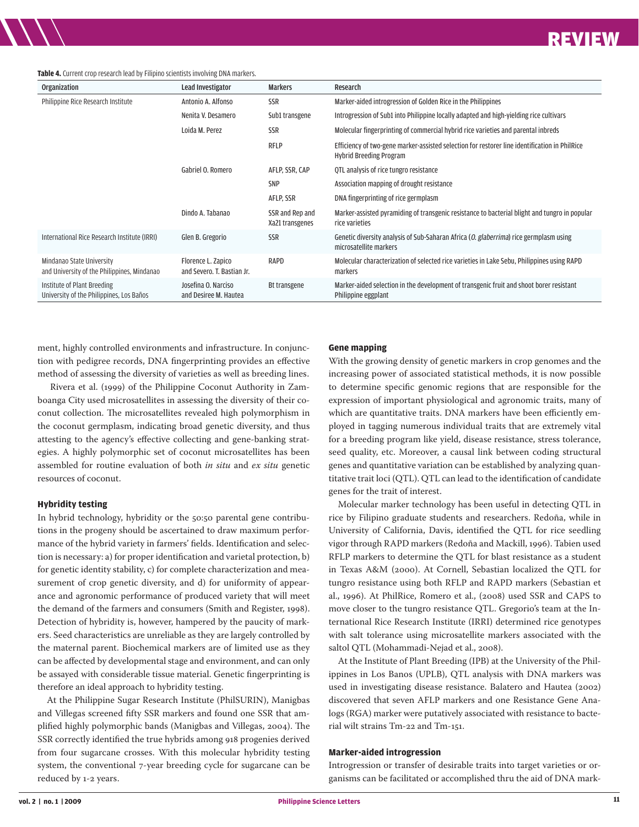#### **Table 4.** Current crop research lead by Filipino scientists involving DNA markers.

REVIEW REVIEW

| <b>Organization</b>                                                      | Lead Investigator                                | <b>Markers</b>                     | Research                                                                                                                 |
|--------------------------------------------------------------------------|--------------------------------------------------|------------------------------------|--------------------------------------------------------------------------------------------------------------------------|
| Philippine Rice Research Institute                                       | Antonio A. Alfonso                               | <b>SSR</b>                         | Marker-aided introgression of Golden Rice in the Philippines                                                             |
|                                                                          | Nenita V. Desamero                               | Sub1 transgene                     | Introgression of Sub1 into Philippine locally adapted and high-yielding rice cultivars                                   |
|                                                                          | Loida M. Perez                                   | <b>SSR</b>                         | Molecular fingerprinting of commercial hybrid rice varieties and parental inbreds                                        |
|                                                                          |                                                  | <b>RFLP</b>                        | Efficiency of two-gene marker-assisted selection for restorer line identification in PhilRice<br>Hybrid Breeding Program |
|                                                                          | Gabriel O. Romero                                | AFLP, SSR, CAP                     | QTL analysis of rice tungro resistance                                                                                   |
|                                                                          |                                                  | <b>SNP</b>                         | Association mapping of drought resistance                                                                                |
|                                                                          |                                                  | AFLP, SSR                          | DNA fingerprinting of rice germplasm                                                                                     |
|                                                                          | Dindo A. Tabanao                                 | SSR and Rep and<br>Xa21 transgenes | Marker-assisted pyramiding of transgenic resistance to bacterial blight and tungro in popular<br>rice varieties          |
| International Rice Research Institute (IRRI)                             | Glen B. Gregorio                                 | <b>SSR</b>                         | Genetic diversity analysis of Sub-Saharan Africa ( <i>O. glaberrima</i> ) rice germplasm using<br>microsatellite markers |
| Mindanao State University<br>and University of the Philippines, Mindanao | Florence L. Zapico<br>and Severo. T. Bastian Jr. | RAPD                               | Molecular characterization of selected rice varieties in Lake Sebu, Philippines using RAPD<br>markers                    |
| Institute of Plant Breeding<br>University of the Philippines, Los Baños  | Josefina O. Narciso<br>and Desiree M. Hautea     | Bt transgene                       | Marker-aided selection in the development of transgenic fruit and shoot borer resistant<br>Philippine eggplant           |

ment, highly controlled environments and infrastructure. In conjunction with pedigree records, DNA fingerprinting provides an effective method of assessing the diversity of varieties as well as breeding lines.

 Rivera et al. (1999) of the Philippine Coconut Authority in Zamboanga City used microsatellites in assessing the diversity of their coconut collection. The microsatellites revealed high polymorphism in the coconut germplasm, indicating broad genetic diversity, and thus attesting to the agency's effective collecting and gene-banking strategies. A highly polymorphic set of coconut microsatellites has been assembled for routine evaluation of both *in situ* and *ex situ* genetic resources of coconut.

#### **Hybridity testing**

In hybrid technology, hybridity or the 50:50 parental gene contributions in the progeny should be ascertained to draw maximum performance of the hybrid variety in farmers' fields. Identification and selection is necessary: a) for proper identification and varietal protection, b) for genetic identity stability, c) for complete characterization and measurement of crop genetic diversity, and d) for uniformity of appearance and agronomic performance of produced variety that will meet the demand of the farmers and consumers (Smith and Register, 1998). Detection of hybridity is, however, hampered by the paucity of markers. Seed characteristics are unreliable as they are largely controlled by the maternal parent. Biochemical markers are of limited use as they can be affected by developmental stage and environment, and can only be assayed with considerable tissue material. Genetic fingerprinting is therefore an ideal approach to hybridity testing.

At the Philippine Sugar Research Institute (PhilSURIN), Manigbas and Villegas screened fifty SSR markers and found one SSR that amplified highly polymorphic bands (Manigbas and Villegas, 2004). The SSR correctly identified the true hybrids among 918 progenies derived from four sugarcane crosses. With this molecular hybridity testing system, the conventional 7-year breeding cycle for sugarcane can be reduced by 1-2 years.

#### **Gene mapping**

With the growing density of genetic markers in crop genomes and the increasing power of associated statistical methods, it is now possible to determine specific genomic regions that are responsible for the expression of important physiological and agronomic traits, many of which are quantitative traits. DNA markers have been efficiently employed in tagging numerous individual traits that are extremely vital for a breeding program like yield, disease resistance, stress tolerance, seed quality, etc. Moreover, a causal link between coding structural genes and quantitative variation can be established by analyzing quantitative trait loci (QTL). QTL can lead to the identification of candidate genes for the trait of interest.

Molecular marker technology has been useful in detecting QTL in rice by Filipino graduate students and researchers. Redoña, while in University of California, Davis, identified the QTL for rice seedling vigor through RAPD markers (Redoña and Mackill, 1996). Tabien used RFLP markers to determine the QTL for blast resistance as a student in Texas A&M (2000). At Cornell, Sebastian localized the QTL for tungro resistance using both RFLP and RAPD markers (Sebastian et al., 1996). At PhilRice, Romero et al., (2008) used SSR and CAPS to move closer to the tungro resistance QTL. Gregorio's team at the International Rice Research Institute (IRRI) determined rice genotypes with salt tolerance using microsatellite markers associated with the saltol QTL (Mohammadi-Nejad et al., 2008).

At the Institute of Plant Breeding (IPB) at the University of the Philippines in Los Banos (UPLB), QTL analysis with DNA markers was used in investigating disease resistance. Balatero and Hautea (2002) discovered that seven AFLP markers and one Resistance Gene Analogs (RGA) marker were putatively associated with resistance to bacterial wilt strains Tm-22 and Tm-151.

#### **Marker-aided introgression**

Introgression or transfer of desirable traits into target varieties or organisms can be facilitated or accomplished thru the aid of DNA mark-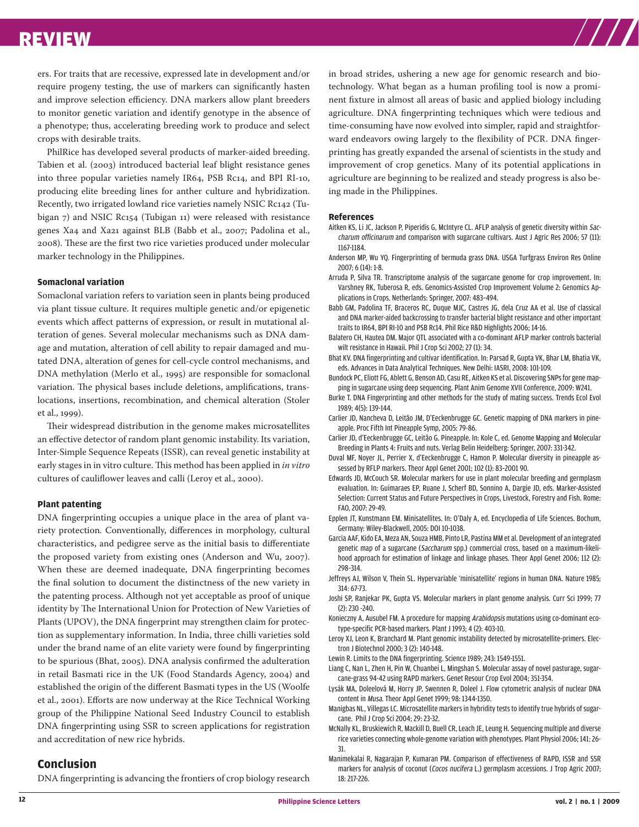

ers. For traits that are recessive, expressed late in development and/or require progeny testing, the use of markers can significantly hasten and improve selection efficiency. DNA markers allow plant breeders to monitor genetic variation and identify genotype in the absence of a phenotype; thus, accelerating breeding work to produce and select crops with desirable traits.

PhilRice has developed several products of marker-aided breeding. Tabien et al. (2003) introduced bacterial leaf blight resistance genes into three popular varieties namely IR64, PSB Rc14, and BPI RI-10, producing elite breeding lines for anther culture and hybridization. Recently, two irrigated lowland rice varieties namely NSIC Rc142 (Tubigan 7) and NSIC Rc154 (Tubigan 11) were released with resistance genes Xa4 and Xa21 against BLB (Babb et al., 2007; Padolina et al., 2008). These are the first two rice varieties produced under molecular marker technology in the Philippines.

#### **Somaclonal variation**

Somaclonal variation refers to variation seen in plants being produced via plant tissue culture. It requires multiple genetic and/or epigenetic events which affect patterns of expression, or result in mutational alteration of genes. Several molecular mechanisms such as DNA damage and mutation, alteration of cell ability to repair damaged and mutated DNA, alteration of genes for cell-cycle control mechanisms, and DNA methylation (Merlo et al., 1995) are responsible for somaclonal variation. The physical bases include deletions, amplifications, translocations, insertions, recombination, and chemical alteration (Stoler et al., 1999).

Their widespread distribution in the genome makes microsatellites an effective detector of random plant genomic instability. Its variation, Inter-Simple Sequence Repeats (ISSR), can reveal genetic instability at early stages in in vitro culture. This method has been applied in *in vitro*  cultures of cauliflower leaves and calli (Leroy et al., 2000).

#### **Plant patenting**

DNA fingerprinting occupies a unique place in the area of plant variety protection. Conventionally, differences in morphology, cultural characteristics, and pedigree serve as the initial basis to differentiate the proposed variety from existing ones (Anderson and Wu, 2007). When these are deemed inadequate, DNA fingerprinting becomes the final solution to document the distinctness of the new variety in the patenting process. Although not yet acceptable as proof of unique identity by The International Union for Protection of New Varieties of Plants (UPOV), the DNA fingerprint may strengthen claim for protection as supplementary information. In India, three chilli varieties sold under the brand name of an elite variety were found by fingerprinting to be spurious (Bhat, 2005). DNA analysis confirmed the adulteration in retail Basmati rice in the UK (Food Standards Agency, 2004) and established the origin of the different Basmati types in the US (Woolfe et al., 2001). Efforts are now underway at the Rice Technical Working group of the Philippine National Seed Industry Council to establish DNA fingerprinting using SSR to screen applications for registration and accreditation of new rice hybrids.

#### **Conclusion**

DNA fingerprinting is advancing the frontiers of crop biology research

in broad strides, ushering a new age for genomic research and biotechnology. What began as a human profiling tool is now a prominent fixture in almost all areas of basic and applied biology including agriculture. DNA fingerprinting techniques which were tedious and time-consuming have now evolved into simpler, rapid and straightforward endeavors owing largely to the flexibility of PCR. DNA fingerprinting has greatly expanded the arsenal of scientists in the study and improvement of crop genetics. Many of its potential applications in agriculture are beginning to be realized and steady progress is also being made in the Philippines.

#### **References**

- Aitken KS, Li JC, Jackson P, Piperidis G, McIntyre CL. AFLP analysis of genetic diversity within Saccharum officinarum and comparison with sugarcane cultivars. Aust J Agric Res 2006; 57 (11): 1167-1184.
- Anderson MP, Wu YQ. Fingerprinting of bermuda grass DNA. USGA Turfgrass Environ Res Online 2007; 6 (14): 1-8.
- Arruda P, Silva TR. Transcriptome analysis of the sugarcane genome for crop improvement. In: Varshney RK, Tuberosa R, eds. Genomics-Assisted Crop Improvement Volume 2: Genomics Applications in Crops. Netherlands: Springer, 2007: 483–494.
- Babb GM, Padolina TF, Braceros RC, Duque MJC, Castres JG, dela Cruz AA et al. Use of classical and DNA marker-aided backcrossing to transfer bacterial blight resistance and other important traits to IR64, BPI RI-10 and PSB Rc14. Phil Rice R&D Highlights 2006; 14-16.
- Balatero CH, Hautea DM. Major QTL associated with a co-dominant AFLP marker controls bacterial wilt resistance in Hawaii. Phil J Crop Sci 2002; 27 (1): 34.
- Bhat KV. DNA fingerprinting and cultivar identification. In: Parsad R, Gupta VK, Bhar LM, Bhatia VK, eds. Advances in Data Analytical Techniques. New Delhi: IASRI, 2008: 101-109.
- Bundock PC, Eliott FG, Ablett G, Benson AD, Casu RE, Aitken KS et al. Discovering SNPs for gene mapping in sugarcane using deep sequencing. Plant Anim Genome XVII Conference, 2009: W241.
- Burke T. DNA Fingerprinting and other methods for the study of mating success. Trends Ecol Evol 1989; 4(5): 139-144.
- Carlier JD, Nancheva D, Leitão JM, D'Eeckenbrugge GC. Genetic mapping of DNA markers in pineapple. Proc Fifth Int Pineapple Symp, 2005: 79-86.
- Carlier JD, d'Eeckenbrugge GC, Leitão G. Pineapple. In: Kole C, ed. Genome Mapping and Molecular Breeding in Plants 4: Fruits and nuts. Verlag Belin Heidelberg: Springer, 2007: 331-342.
- Duval MF, Noyer JL, Perrier X, d'Eeckenbrugge C, Hamon P. Molecular diversity in pineapple assessed by RFLP markers. Theor Appl Genet 2001; 102 (1): 83–2001 90.
- Edwards JD, McCouch SR. Molecular markers for use in plant molecular breeding and germplasm evaluation. In: Guimaraes EP, Ruane J, Scherf BD, Sonnino A, Dargie JD, eds. Marker-Assisted Selection: Current Status and Future Perspectives in Crops, Livestock, Forestry and Fish. Rome: FAO, 2007: 29-49.
- Epplen JT, Kunstmann EM. Minisatellites. In: O'Daly A, ed. Encyclopedia of Life Sciences. Bochum, Germany: Wiley-Blackwell, 2005: DOI 10-1038.
- Garcia AAF, Kido EA, Meza AN, Souza HMB, Pinto LR, Pastina MM et al. Development of an integrated genetic map of a sugarcane (Saccharum spp.) commercial cross, based on a maximum-likelihood approach for estimation of linkage and linkage phases. Theor Appl Genet 2006; 112 (2): 298–314.
- Jeffreys AJ, Wilson V, Thein SL. Hypervariable 'minisatellite' regions in human DNA. Nature 1985; 314: 67-73.
- Joshi SP, Ranjekar PK, Gupta VS. Molecular markers in plant genome analysis. Curr Sci 1999; 77 (2): 230 -240.
- Konieczny A, Ausubel FM. A procedure for mapping Arabidopsis mutations using co-dominant ecotype-specific PCR-based markers. Plant J 1993; 4 (2): 403-10.
- Leroy XJ, Leon K, Branchard M. Plant genomic instability detected by microsatellite-primers. Electron J Biotechnol 2000; 3 (2): 140-148.
- Lewin R. Limits to the DNA fingerprinting. Science 1989; 243: 1549-1551.
- Liang C, Nan L, Zhen H, Pin W, Chuanbei L, Mingshan S. Molecular assay of novel pasturage, sugarcane-grass 94-42 using RAPD markers. Genet Resour Crop Evol 2004; 351-354.
- Lysák MA, Doleelová M, Horry JP, Swennen R, Doleel J. Flow cytometric analysis of nuclear DNA content in Musa. Theor Appl Genet 1999; 98: 1344-1350.
- Manigbas NL, Villegas LC. Microsatellite markers in hybridity tests to identify true hybrids of sugarcane. Phil J Crop Sci 2004; 29: 23-32.
- McNally KL, Bruskiewich R, Mackill D, Buell CR, Leach JE, Leung H. Sequencing multiple and diverse rice varieties connecting whole-genome variation with phenotypes. Plant Physiol 2006; 141: 26- 31.
- Manimekalai R, Nagarajan P, Kumaran PM. Comparison of effectiveness of RAPD, ISSR and SSR markers for analysis of coconut (Cocos nucifera L.) germplasm accessions. J Trop Agric 2007; 18: 217-226.